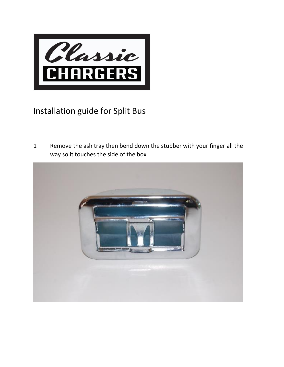

## Installation guide for Split Bus

1 Remove the ash tray then bend down the stubber with your finger all the way so it touches the side of the box

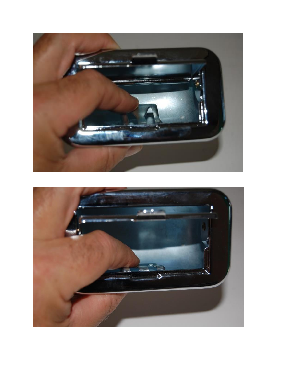

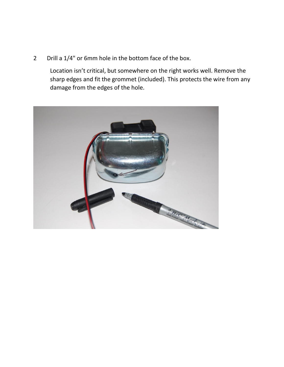2 Drill a 1/4" or 6mm hole in the bottom face of the box.

Location isn't critical, but somewhere on the right works well. Remove the sharp edges and fit the grommet (included). This protects the wire from any damage from the edges of the hole.

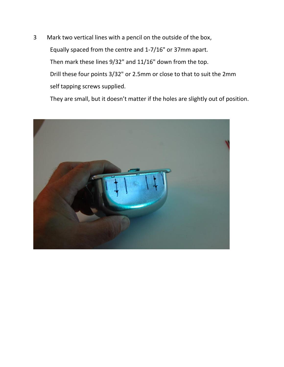3 Mark two vertical lines with a pencil on the outside of the box, Equally spaced from the centre and 1-7/16" or 37mm apart. Then mark these lines 9/32" and 11/16" down from the top. Drill these four points 3/32" or 2.5mm or close to that to suit the 2mm self tapping screws supplied.

They are small, but it doesn't matter if the holes are slightly out of position.

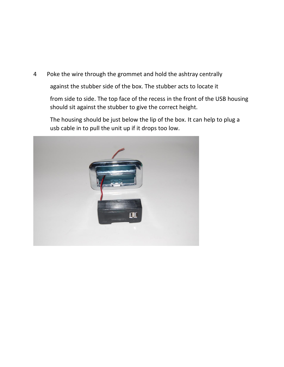4 Poke the wire through the grommet and hold the ashtray centrally

against the stubber side of the box. The stubber acts to locate it

from side to side. The top face of the recess in the front of the USB housing should sit against the stubber to give the correct height.

The housing should be just below the lip of the box. It can help to plug a usb cable in to pull the unit up if it drops too low.

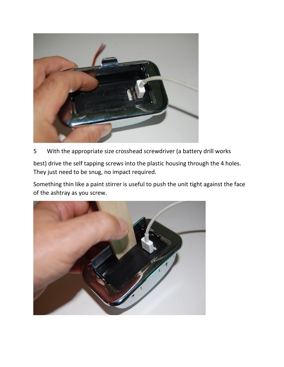

5 With the appropriate size crosshead screwdriver (a battery drill works

best) drive the self tapping screws into the plastic housing through the 4 holes. They just need to be snug, no impact required.

Something thin like a paint stirrer is useful to push the unit tight against the face of the ashtray as you screw.

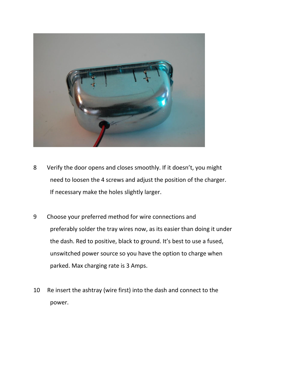

- 8 Verify the door opens and closes smoothly. If it doesn't, you might need to loosen the 4 screws and adjust the position of the charger. If necessary make the holes slightly larger.
- 9 Choose your preferred method for wire connections and preferably solder the tray wires now, as its easier than doing it under the dash. Red to positive, black to ground. It's best to use a fused, unswitched power source so you have the option to charge when parked. Max charging rate is 3 Amps.
- 10 Re insert the ashtray (wire first) into the dash and connect to the power.